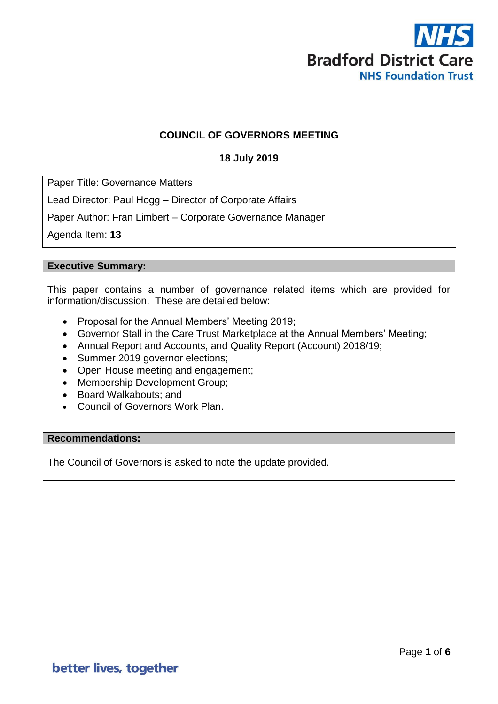

## **COUNCIL OF GOVERNORS MEETING**

## **18 July 2019**

Paper Title: Governance Matters

Lead Director: Paul Hogg – Director of Corporate Affairs

Paper Author: Fran Limbert – Corporate Governance Manager

Agenda Item: **13**

#### **Executive Summary:**

This paper contains a number of governance related items which are provided for information/discussion. These are detailed below:

- Proposal for the Annual Members' Meeting 2019;
- Governor Stall in the Care Trust Marketplace at the Annual Members' Meeting;
- Annual Report and Accounts, and Quality Report (Account) 2018/19;
- Summer 2019 governor elections;
- Open House meeting and engagement;
- Membership Development Group;
- Board Walkabouts; and
- Council of Governors Work Plan.

#### **Recommendations:**

The Council of Governors is asked to note the update provided.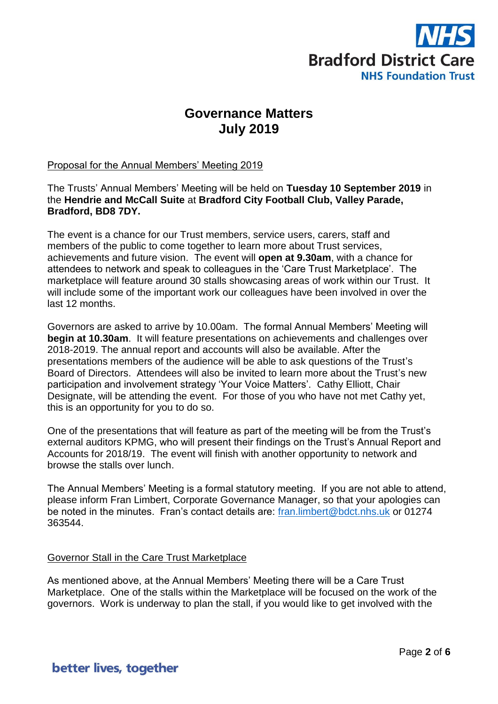

# **Governance Matters July 2019**

## Proposal for the Annual Members' Meeting 2019

The Trusts' Annual Members' Meeting will be held on **Tuesday 10 September 2019** in the **Hendrie and McCall Suite** at **Bradford City Football Club, Valley Parade, Bradford, BD8 7DY.** 

The event is a chance for our Trust members, service users, carers, staff and members of the public to come together to learn more about Trust services, achievements and future vision. The event will **open at 9.30am**, with a chance for attendees to network and speak to colleagues in the 'Care Trust Marketplace'. The marketplace will feature around 30 stalls showcasing areas of work within our Trust. It will include some of the important work our colleagues have been involved in over the last 12 months.

Governors are asked to arrive by 10.00am. The formal Annual Members' Meeting will **begin at 10.30am**. It will feature presentations on achievements and challenges over 2018-2019. The annual report and accounts will also be available. After the presentations members of the audience will be able to ask questions of the Trust's Board of Directors. Attendees will also be invited to learn more about the Trust's new participation and involvement strategy 'Your Voice Matters'. Cathy Elliott, Chair Designate, will be attending the event. For those of you who have not met Cathy yet, this is an opportunity for you to do so.

One of the presentations that will feature as part of the meeting will be from the Trust's external auditors KPMG, who will present their findings on the Trust's Annual Report and Accounts for 2018/19. The event will finish with another opportunity to network and browse the stalls over lunch.

The Annual Members' Meeting is a formal statutory meeting. If you are not able to attend, please inform Fran Limbert, Corporate Governance Manager, so that your apologies can be noted in the minutes. Fran's contact details are: [fran.limbert@bdct.nhs.uk](mailto:fran.limbert@bdct.nhs.uk) or 01274 363544.

#### Governor Stall in the Care Trust Marketplace

As mentioned above, at the Annual Members' Meeting there will be a Care Trust Marketplace. One of the stalls within the Marketplace will be focused on the work of the governors. Work is underway to plan the stall, if you would like to get involved with the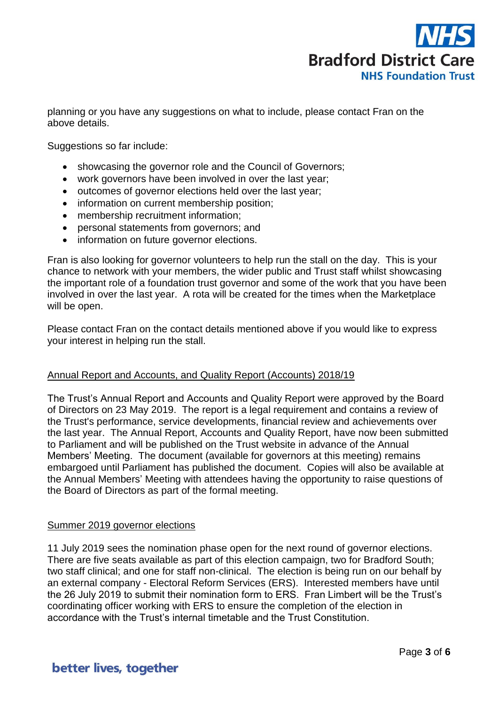

planning or you have any suggestions on what to include, please contact Fran on the above details.

Suggestions so far include:

- showcasing the governor role and the Council of Governors;
- work governors have been involved in over the last year;
- outcomes of governor elections held over the last year;
- information on current membership position;
- membership recruitment information;
- personal statements from governors; and
- information on future governor elections.

Fran is also looking for governor volunteers to help run the stall on the day. This is your chance to network with your members, the wider public and Trust staff whilst showcasing the important role of a foundation trust governor and some of the work that you have been involved in over the last year. A rota will be created for the times when the Marketplace will be open.

Please contact Fran on the contact details mentioned above if you would like to express your interest in helping run the stall.

#### Annual Report and Accounts, and Quality Report (Accounts) 2018/19

The Trust's Annual Report and Accounts and Quality Report were approved by the Board of Directors on 23 May 2019. The report is a legal requirement and contains a review of the Trust's performance, service developments, financial review and achievements over the last year. The Annual Report, Accounts and Quality Report, have now been submitted to Parliament and will be published on the Trust website in advance of the Annual Members' Meeting. The document (available for governors at this meeting) remains embargoed until Parliament has published the document. Copies will also be available at the Annual Members' Meeting with attendees having the opportunity to raise questions of the Board of Directors as part of the formal meeting.

#### Summer 2019 governor elections

11 July 2019 sees the nomination phase open for the next round of governor elections. There are five seats available as part of this election campaign, two for Bradford South; two staff clinical; and one for staff non-clinical. The election is being run on our behalf by an external company - Electoral Reform Services (ERS). Interested members have until the 26 July 2019 to submit their nomination form to ERS. Fran Limbert will be the Trust's coordinating officer working with ERS to ensure the completion of the election in accordance with the Trust's internal timetable and the Trust Constitution.

## better lives, together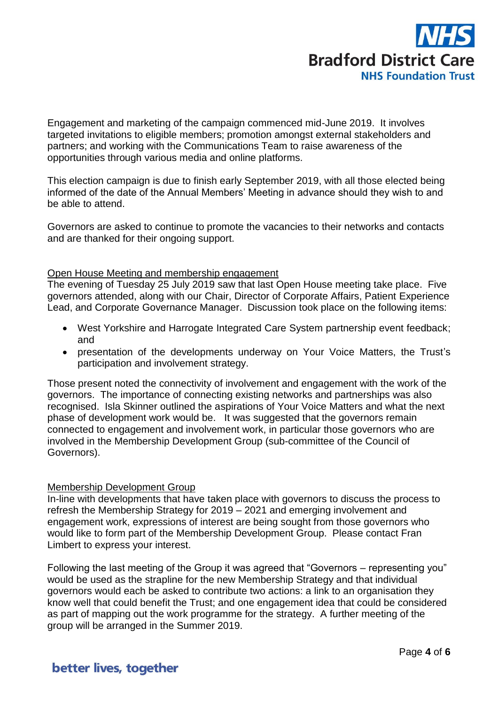

Engagement and marketing of the campaign commenced mid-June 2019. It involves targeted invitations to eligible members; promotion amongst external stakeholders and partners; and working with the Communications Team to raise awareness of the opportunities through various media and online platforms.

This election campaign is due to finish early September 2019, with all those elected being informed of the date of the Annual Members' Meeting in advance should they wish to and be able to attend.

Governors are asked to continue to promote the vacancies to their networks and contacts and are thanked for their ongoing support.

#### Open House Meeting and membership engagement

The evening of Tuesday 25 July 2019 saw that last Open House meeting take place. Five governors attended, along with our Chair, Director of Corporate Affairs, Patient Experience Lead, and Corporate Governance Manager. Discussion took place on the following items:

- West Yorkshire and Harrogate Integrated Care System partnership event feedback; and
- presentation of the developments underway on Your Voice Matters, the Trust's participation and involvement strategy.

Those present noted the connectivity of involvement and engagement with the work of the governors. The importance of connecting existing networks and partnerships was also recognised. Isla Skinner outlined the aspirations of Your Voice Matters and what the next phase of development work would be. It was suggested that the governors remain connected to engagement and involvement work, in particular those governors who are involved in the Membership Development Group (sub-committee of the Council of Governors).

#### Membership Development Group

In-line with developments that have taken place with governors to discuss the process to refresh the Membership Strategy for 2019 – 2021 and emerging involvement and engagement work, expressions of interest are being sought from those governors who would like to form part of the Membership Development Group. Please contact Fran Limbert to express your interest.

Following the last meeting of the Group it was agreed that "Governors – representing you" would be used as the strapline for the new Membership Strategy and that individual governors would each be asked to contribute two actions: a link to an organisation they know well that could benefit the Trust; and one engagement idea that could be considered as part of mapping out the work programme for the strategy. A further meeting of the group will be arranged in the Summer 2019.

## better lives, together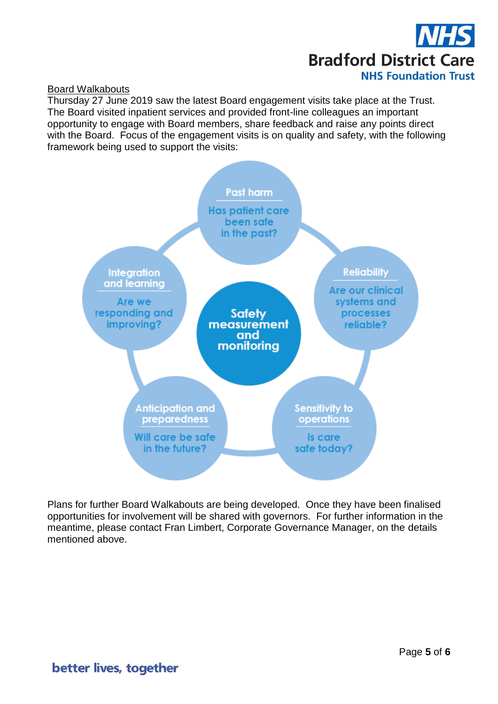

#### Board Walkabouts

Thursday 27 June 2019 saw the latest Board engagement visits take place at the Trust. The Board visited inpatient services and provided front-line colleagues an important opportunity to engage with Board members, share feedback and raise any points direct with the Board. Focus of the engagement visits is on quality and safety, with the following framework being used to support the visits:



Plans for further Board Walkabouts are being developed. Once they have been finalised opportunities for involvement will be shared with governors. For further information in the meantime, please contact Fran Limbert, Corporate Governance Manager, on the details mentioned above.